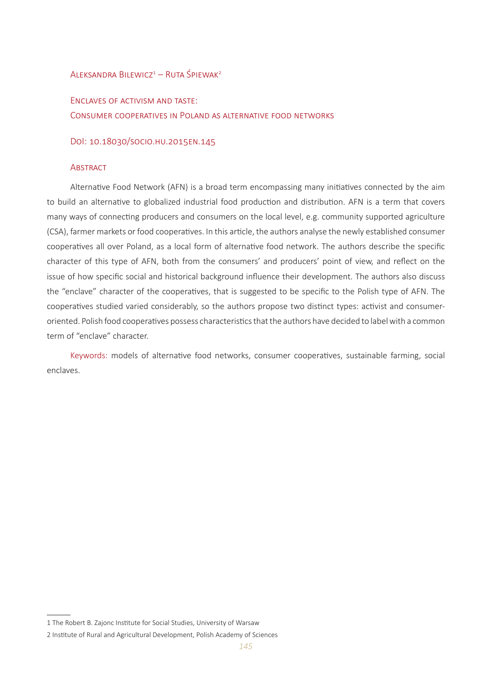# $A$ leksandra Bilewicz $1 - R$ uta Śpiewak $2$

Enclaves of activism and taste: Consumer cooperatives in Poland as alternative food networks

DoI: 10.18030/socio.hu.2015en.145

# **ABSTRACT**

Alternative Food Network (AFN) is a broad term encompassing many initiatives connected by the aim to build an alternative to globalized industrial food production and distribution. AFN is a term that covers many ways of connecting producers and consumers on the local level, e.g. community supported agriculture (CSA), farmer markets or food cooperatives. In this article, the authors analyse the newly established consumer cooperatives all over Poland, as a local form of alternative food network. The authors describe the specific character of this type of AFN, both from the consumers' and producers' point of view, and reflect on the issue of how specific social and historical background influence their development. The authors also discuss the "enclave" character of the cooperatives, that is suggested to be specific to the Polish type of AFN. The cooperatives studied varied considerably, so the authors propose two distinct types: activist and consumeroriented. Polish food cooperatives possess characteristics that the authors have decided to label with a common term of "enclave" character.

Keywords: models of alternative food networks, consumer cooperatives, sustainable farming, social enclaves.

<sup>1</sup> The Robert B. Zajonc Institute for Social Studies, University of Warsaw

<sup>2</sup> Institute of Rural and Agricultural Development, Polish Academy of Sciences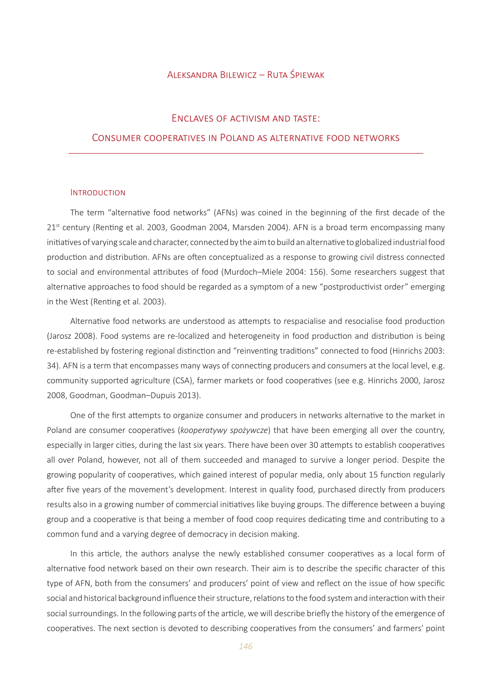# Aleksandra Bilewicz – Ruta Śpiewak

# Enclaves of activism and taste:

# Consumer cooperatives in Poland as alternative food networks

#### Introduction

The term "alternative food networks" (AFNs) was coined in the beginning of the first decade of the 21<sup>st</sup> century (Renting et al. 2003, Goodman 2004, Marsden 2004). AFN is a broad term encompassing many initiatives of varying scale and character, connected by the aim to build an alternative to globalized industrial food production and distribution. AFNs are often conceptualized as a response to growing civil distress connected to social and environmental attributes of food (Murdoch–Miele 2004: 156). Some researchers suggest that alternative approaches to food should be regarded as a symptom of a new "postproductivist order" emerging in the West (Renting et al. 2003).

Alternative food networks are understood as attempts to respacialise and resocialise food production (Jarosz 2008). Food systems are re-localized and heterogeneity in food production and distribution is being re-established by fostering regional distinction and "reinventing traditions" connected to food (Hinrichs 2003: 34). AFN is a term that encompasses many ways of connecting producers and consumers at the local level, e.g. community supported agriculture (CSA), farmer markets or food cooperatives (see e.g. Hinrichs 2000, Jarosz 2008, Goodman, Goodman–Dupuis 2013).

One of the first attempts to organize consumer and producers in networks alternative to the market in Poland are consumer cooperatives (*kooperatywy spożywcze*) that have been emerging all over the country, especially in larger cities, during the last six years. There have been over 30 attempts to establish cooperatives all over Poland, however, not all of them succeeded and managed to survive a longer period. Despite the growing popularity of cooperatives, which gained interest of popular media, only about 15 function regularly after five years of the movement's development. Interest in quality food, purchased directly from producers results also in a growing number of commercial initiatives like buying groups. The difference between a buying group and a cooperative is that being a member of food coop requires dedicating time and contributing to a common fund and a varying degree of democracy in decision making.

In this article, the authors analyse the newly established consumer cooperatives as a local form of alternative food network based on their own research. Their aim is to describe the specific character of this type of AFN, both from the consumers' and producers' point of view and reflect on the issue of how specific social and historical background influence their structure, relations to the food system and interaction with their social surroundings. In the following parts of the article, we will describe briefly the history of the emergence of cooperatives. The next section is devoted to describing cooperatives from the consumers' and farmers' point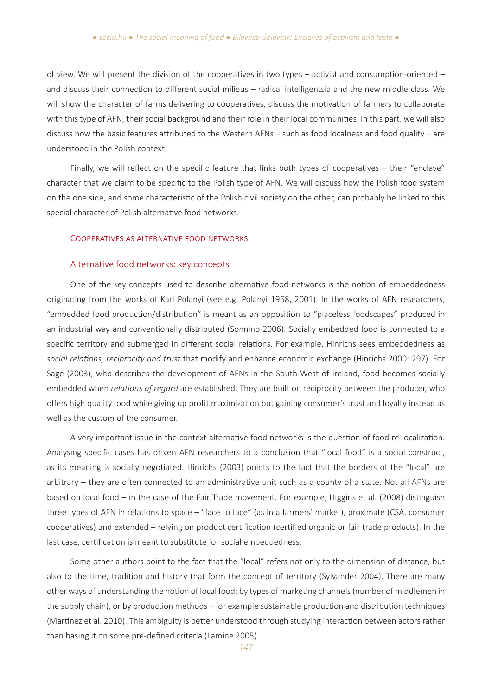of view. We will present the division of the cooperatives in two types – activist and consumption-oriented – and discuss their connection to different social milieus – radical intelligentsia and the new middle class. We will show the character of farms delivering to cooperatives, discuss the motivation of farmers to collaborate with this type of AFN, their social background and their role in their local communities. In this part, we will also discuss how the basic features attributed to the Western AFNs – such as food localness and food quality – are understood in the Polish context.

Finally, we will reflect on the specific feature that links both types of cooperatives – their "enclave" character that we claim to be specific to the Polish type of AFN. We will discuss how the Polish food system on the one side, and some characteristic of the Polish civil society on the other, can probably be linked to this special character of Polish alternative food networks.

### Cooperatives as alternative food networks

#### Alternative food networks: key concepts

One of the key concepts used to describe alternative food networks is the notion of embeddedness originating from the works of Karl Polanyi (see e.g. Polanyi 1968, 2001). In the works of AFN researchers, "embedded food production/distribution" is meant as an opposition to "placeless foodscapes" produced in an industrial way and conventionally distributed (Sonnino 2006). Socially embedded food is connected to a specific territory and submerged in different social relations. For example, Hinrichs sees embeddedness as *social relations, reciprocity and trust* that modify and enhance economic exchange (Hinrichs 2000: 297). For Sage (2003), who describes the development of AFNs in the South-West of Ireland, food becomes socially embedded when *relations of regard* are established. They are built on reciprocity between the producer, who offers high quality food while giving up profit maximization but gaining consumer's trust and loyalty instead as well as the custom of the consumer.

A very important issue in the context alternative food networks is the question of food re-localization. Analysing specific cases has driven AFN researchers to a conclusion that "local food" is a social construct, as its meaning is socially negotiated. Hinrichs (2003) points to the fact that the borders of the "local" are arbitrary – they are often connected to an administrative unit such as a county of a state. Not all AFNs are based on local food – in the case of the Fair Trade movement. For example, Higgins et al. (2008) distinguish three types of AFN in relations to space – "face to face" (as in a farmers' market), proximate (CSA, consumer cooperatives) and extended – relying on product certification (certified organic or fair trade products). In the last case, certification is meant to substitute for social embeddedness.

Some other authors point to the fact that the "local" refers not only to the dimension of distance, but also to the time, tradition and history that form the concept of territory (Sylvander 2004). There are many other ways of understanding the notion of local food: by types of marketing channels (number of middlemen in the supply chain), or by production methods – for example sustainable production and distribution techniques (Martinez et al. 2010). This ambiguity is better understood through studying interaction between actors rather than basing it on some pre-defined criteria (Lamine 2005).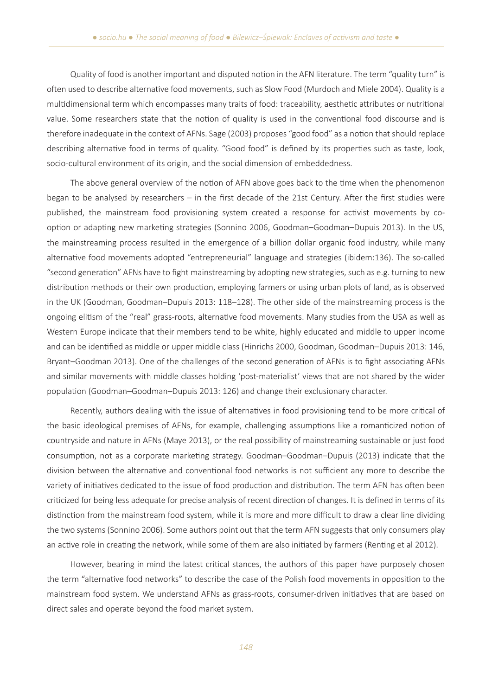Quality of food is another important and disputed notion in the AFN literature. The term "quality turn" is often used to describe alternative food movements, such as Slow Food (Murdoch and Miele 2004). Quality is a multidimensional term which encompasses many traits of food: traceability, aesthetic attributes or nutritional value. Some researchers state that the notion of quality is used in the conventional food discourse and is therefore inadequate in the context of AFNs. Sage (2003) proposes "good food" as a notion that should replace describing alternative food in terms of quality. "Good food" is defined by its properties such as taste, look, socio-cultural environment of its origin, and the social dimension of embeddedness.

The above general overview of the notion of AFN above goes back to the time when the phenomenon began to be analysed by researchers – in the first decade of the 21st Century. After the first studies were published, the mainstream food provisioning system created a response for activist movements by cooption or adapting new marketing strategies (Sonnino 2006, Goodman–Goodman–Dupuis 2013). In the US, the mainstreaming process resulted in the emergence of a billion dollar organic food industry, while many alternative food movements adopted "entrepreneurial" language and strategies (ibidem:136). The so-called "second generation" AFNs have to fight mainstreaming by adopting new strategies, such as e.g. turning to new distribution methods or their own production, employing farmers or using urban plots of land, as is observed in the UK (Goodman, Goodman–Dupuis 2013: 118–128). The other side of the mainstreaming process is the ongoing elitism of the "real" grass-roots, alternative food movements. Many studies from the USA as well as Western Europe indicate that their members tend to be white, highly educated and middle to upper income and can be identified as middle or upper middle class (Hinrichs 2000, Goodman, Goodman–Dupuis 2013: 146, Bryant–Goodman 2013). One of the challenges of the second generation of AFNs is to fight associating AFNs and similar movements with middle classes holding 'post-materialist' views that are not shared by the wider population (Goodman–Goodman–Dupuis 2013: 126) and change their exclusionary character.

Recently, authors dealing with the issue of alternatives in food provisioning tend to be more critical of the basic ideological premises of AFNs, for example, challenging assumptions like a romanticized notion of countryside and nature in AFNs (Maye 2013), or the real possibility of mainstreaming sustainable or just food consumption, not as a corporate marketing strategy. Goodman–Goodman–Dupuis (2013) indicate that the division between the alternative and conventional food networks is not sufficient any more to describe the variety of initiatives dedicated to the issue of food production and distribution. The term AFN has often been criticized for being less adequate for precise analysis of recent direction of changes. It is defined in terms of its distinction from the mainstream food system, while it is more and more difficult to draw a clear line dividing the two systems (Sonnino 2006). Some authors point out that the term AFN suggests that only consumers play an active role in creating the network, while some of them are also initiated by farmers (Renting et al 2012).

However, bearing in mind the latest critical stances, the authors of this paper have purposely chosen the term "alternative food networks" to describe the case of the Polish food movements in opposition to the mainstream food system. We understand AFNs as grass-roots, consumer-driven initiatives that are based on direct sales and operate beyond the food market system.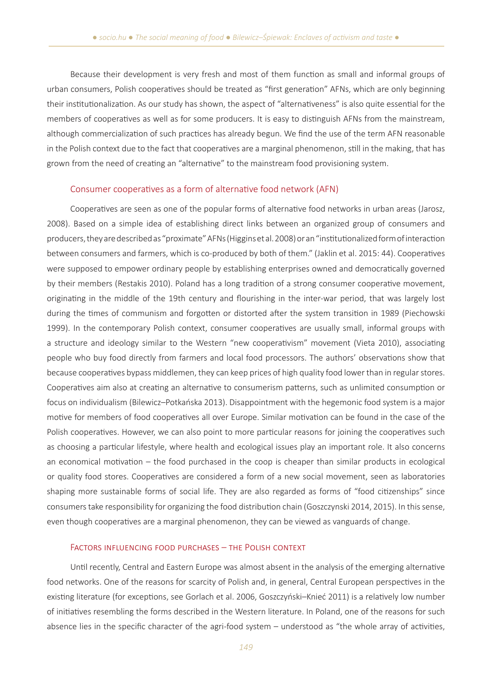Because their development is very fresh and most of them function as small and informal groups of urban consumers, Polish cooperatives should be treated as "first generation" AFNs, which are only beginning their institutionalization. As our study has shown, the aspect of "alternativeness" is also quite essential for the members of cooperatives as well as for some producers. It is easy to distinguish AFNs from the mainstream, although commercialization of such practices has already begun. We find the use of the term AFN reasonable in the Polish context due to the fact that cooperatives are a marginal phenomenon, still in the making, that has grown from the need of creating an "alternative" to the mainstream food provisioning system.

#### Consumer cooperatives as a form of alternative food network (AFN)

Cooperatives are seen as one of the popular forms of alternative food networks in urban areas (Jarosz, 2008). Based on a simple idea of establishing direct links between an organized group of consumers and producers, they are described as "proximate" AFNs (Higgins et al. 2008) or an "institutionalized form of interaction between consumers and farmers, which is co-produced by both of them." (Jaklin et al. 2015: 44). Cooperatives were supposed to empower ordinary people by establishing enterprises owned and democratically governed by their members (Restakis 2010). Poland has a long tradition of a strong consumer cooperative movement, originating in the middle of the 19th century and flourishing in the inter-war period, that was largely lost during the times of communism and forgotten or distorted after the system transition in 1989 (Piechowski 1999). In the contemporary Polish context, consumer cooperatives are usually small, informal groups with a structure and ideology similar to the Western "new cooperativism" movement (Vieta 2010), associating people who buy food directly from farmers and local food processors. The authors' observations show that because cooperatives bypass middlemen, they can keep prices of high quality food lower than in regular stores. Cooperatives aim also at creating an alternative to consumerism patterns, such as unlimited consumption or focus on individualism (Bilewicz–Potkańska 2013). Disappointment with the hegemonic food system is a major motive for members of food cooperatives all over Europe. Similar motivation can be found in the case of the Polish cooperatives. However, we can also point to more particular reasons for joining the cooperatives such as choosing a particular lifestyle, where health and ecological issues play an important role. It also concerns an economical motivation – the food purchased in the coop is cheaper than similar products in ecological or quality food stores. Cooperatives are considered a form of a new social movement, seen as laboratories shaping more sustainable forms of social life. They are also regarded as forms of "food citizenships" since consumers take responsibility for organizing the food distribution chain (Goszczynski 2014, 2015). In this sense, even though cooperatives are a marginal phenomenon, they can be viewed as vanguards of change.

#### Factors influencing food purchases – the Polish context

Until recently, Central and Eastern Europe was almost absent in the analysis of the emerging alternative food networks. One of the reasons for scarcity of Polish and, in general, Central European perspectives in the existing literature (for exceptions, see Gorlach et al. 2006, Goszczyński–Knieć 2011) is a relatively low number of initiatives resembling the forms described in the Western literature. In Poland, one of the reasons for such absence lies in the specific character of the agri-food system – understood as "the whole array of activities,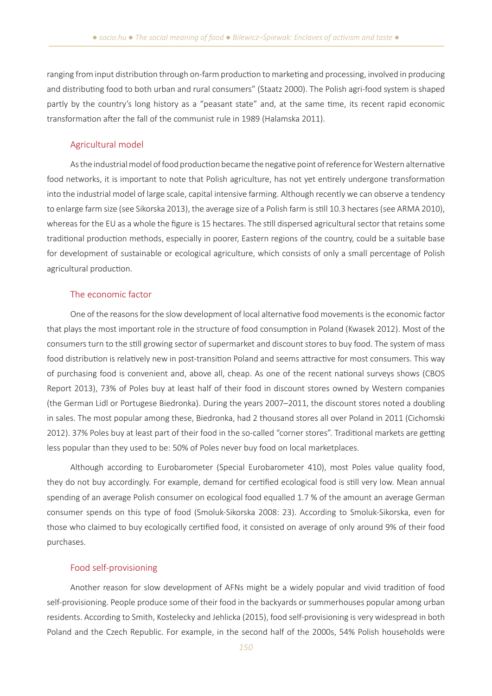ranging from input distribution through on-farm production to marketing and processing, involved in producing and distributing food to both urban and rural consumers" (Staatz 2000). The Polish agri-food system is shaped partly by the country's long history as a "peasant state" and, at the same time, its recent rapid economic transformation after the fall of the communist rule in 1989 (Halamska 2011).

# Agricultural model

As the industrial model of food production became the negative point of reference for Western alternative food networks, it is important to note that Polish agriculture, has not yet entirely undergone transformation into the industrial model of large scale, capital intensive farming. Although recently we can observe a tendency to enlarge farm size (see Sikorska 2013), the average size of a Polish farm is still 10.3 hectares (see ARMA 2010), whereas for the EU as a whole the figure is 15 hectares. The still dispersed agricultural sector that retains some traditional production methods, especially in poorer, Eastern regions of the country, could be a suitable base for development of sustainable or ecological agriculture, which consists of only a small percentage of Polish agricultural production.

### The economic factor

One of the reasons for the slow development of local alternative food movements is the economic factor that plays the most important role in the structure of food consumption in Poland (Kwasek 2012). Most of the consumers turn to the still growing sector of supermarket and discount stores to buy food. The system of mass food distribution is relatively new in post-transition Poland and seems attractive for most consumers. This way of purchasing food is convenient and, above all, cheap. As one of the recent national surveys shows (CBOS Report 2013), 73% of Poles buy at least half of their food in discount stores owned by Western companies (the German Lidl or Portugese Biedronka). During the years 2007–2011, the discount stores noted a doubling in sales. The most popular among these, Biedronka, had 2 thousand stores all over Poland in 2011 (Cichomski 2012). 37% Poles buy at least part of their food in the so-called "corner stores". Traditional markets are getting less popular than they used to be: 50% of Poles never buy food on local marketplaces.

Although according to Eurobarometer (Special Eurobarometer 410), most Poles value quality food, they do not buy accordingly. For example, demand for certified ecological food is still very low. Mean annual spending of an average Polish consumer on ecological food equalled 1.7 % of the amount an average German consumer spends on this type of food (Smoluk-Sikorska 2008: 23). According to Smoluk-Sikorska, even for those who claimed to buy ecologically certified food, it consisted on average of only around 9% of their food purchases.

### Food self-provisioning

Another reason for slow development of AFNs might be a widely popular and vivid tradition of food self-provisioning. People produce some of their food in the backyards or summerhouses popular among urban residents. According to Smith, Kostelecky and Jehlicka (2015), food self-provisioning is very widespread in both Poland and the Czech Republic. For example, in the second half of the 2000s, 54% Polish households were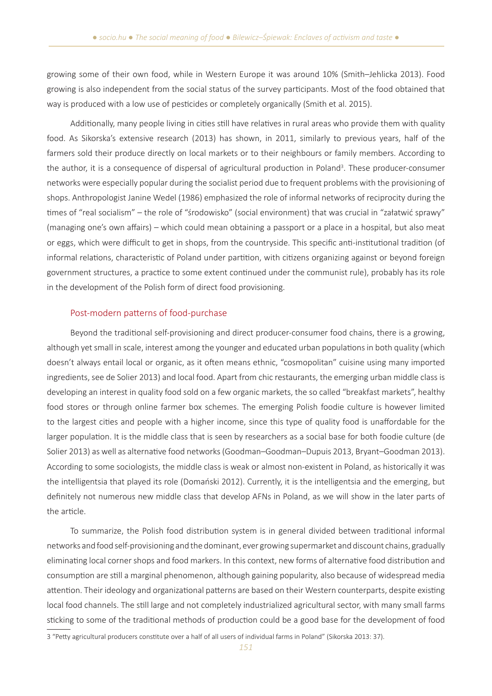growing some of their own food, while in Western Europe it was around 10% (Smith–Jehlicka 2013). Food growing is also independent from the social status of the survey participants. Most of the food obtained that way is produced with a low use of pesticides or completely organically (Smith et al. 2015).

Additionally, many people living in cities still have relatives in rural areas who provide them with quality food. As Sikorska's extensive research (2013) has shown, in 2011, similarly to previous years, half of the farmers sold their produce directly on local markets or to their neighbours or family members. According to the author, it is a consequence of dispersal of agricultural production in Poland<sup>3</sup>. These producer-consumer networks were especially popular during the socialist period due to frequent problems with the provisioning of shops. Anthropologist Janine Wedel (1986) emphasized the role of informal networks of reciprocity during the times of "real socialism" – the role of "środowisko" (social environment) that was crucial in "załatwić sprawy" (managing one's own affairs) – which could mean obtaining a passport or a place in a hospital, but also meat or eggs, which were difficult to get in shops, from the countryside. This specific anti-institutional tradition (of informal relations, characteristic of Poland under partition, with citizens organizing against or beyond foreign government structures, a practice to some extent continued under the communist rule), probably has its role in the development of the Polish form of direct food provisioning.

# Post-modern patterns of food-purchase

Beyond the traditional self-provisioning and direct producer-consumer food chains, there is a growing, although yet small in scale, interest among the younger and educated urban populations in both quality (which doesn't always entail local or organic, as it often means ethnic, "cosmopolitan" cuisine using many imported ingredients, see de Solier 2013) and local food. Apart from chic restaurants, the emerging urban middle class is developing an interest in quality food sold on a few organic markets, the so called "breakfast markets", healthy food stores or through online farmer box schemes. The emerging Polish foodie culture is however limited to the largest cities and people with a higher income, since this type of quality food is unaffordable for the larger population. It is the middle class that is seen by researchers as a social base for both foodie culture (de Solier 2013) as well as alternative food networks (Goodman–Goodman–Dupuis 2013, Bryant–Goodman 2013). According to some sociologists, the middle class is weak or almost non-existent in Poland, as historically it was the intelligentsia that played its role (Domański 2012). Currently, it is the intelligentsia and the emerging, but definitely not numerous new middle class that develop AFNs in Poland, as we will show in the later parts of the article.

To summarize, the Polish food distribution system is in general divided between traditional informal networks and food self-provisioning and the dominant, ever growing supermarket and discount chains, gradually eliminating local corner shops and food markers. In this context, new forms of alternative food distribution and consumption are still a marginal phenomenon, although gaining popularity, also because of widespread media attention. Their ideology and organizational patterns are based on their Western counterparts, despite existing local food channels. The still large and not completely industrialized agricultural sector, with many small farms sticking to some of the traditional methods of production could be a good base for the development of food

<sup>3 &</sup>quot;Petty agricultural producers constitute over a half of all users of individual farms in Poland" (Sikorska 2013: 37).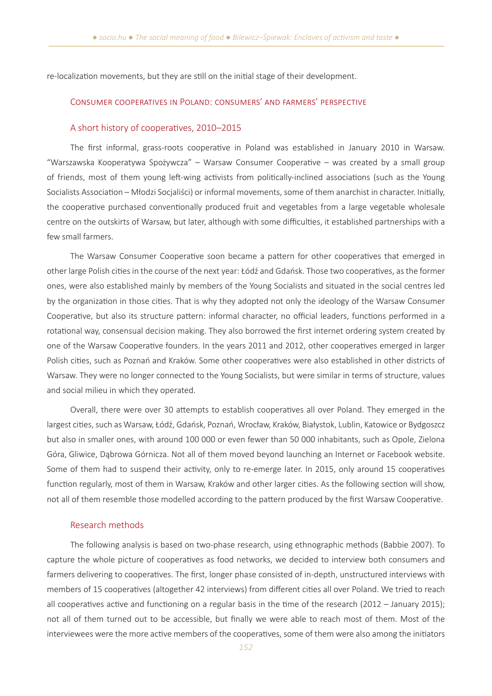re-localization movements, but they are still on the initial stage of their development.

### Consumer cooperatives in Poland: consumers' and farmers' perspective

#### A short history of cooperatives, 2010–2015

The first informal, grass-roots cooperative in Poland was established in January 2010 in Warsaw. "Warszawska Kooperatywa Spożywcza" – Warsaw Consumer Cooperative – was created by a small group of friends, most of them young left-wing activists from politically-inclined associations (such as the Young Socialists Association – Młodzi Socjaliści) or informal movements, some of them anarchist in character. Initially, the cooperative purchased conventionally produced fruit and vegetables from a large vegetable wholesale centre on the outskirts of Warsaw, but later, although with some difficulties, it established partnerships with a few small farmers.

The Warsaw Consumer Cooperative soon became a pattern for other cooperatives that emerged in other large Polish cities in the course of the next year: Łódź and Gdańsk. Those two cooperatives, as the former ones, were also established mainly by members of the Young Socialists and situated in the social centres led by the organization in those cities. That is why they adopted not only the ideology of the Warsaw Consumer Cooperative, but also its structure pattern: informal character, no official leaders, functions performed in a rotational way, consensual decision making. They also borrowed the first internet ordering system created by one of the Warsaw Cooperative founders. In the years 2011 and 2012, other cooperatives emerged in larger Polish cities, such as Poznań and Kraków. Some other cooperatives were also established in other districts of Warsaw. They were no longer connected to the Young Socialists, but were similar in terms of structure, values and social milieu in which they operated.

Overall, there were over 30 attempts to establish cooperatives all over Poland. They emerged in the largest cities, such as Warsaw, Łódź, Gdańsk, Poznań, Wrocław, Kraków, Białystok, Lublin, Katowice or Bydgoszcz but also in smaller ones, with around 100 000 or even fewer than 50 000 inhabitants, such as Opole, Zielona Góra, Gliwice, Dąbrowa Górnicza. Not all of them moved beyond launching an Internet or Facebook website. Some of them had to suspend their activity, only to re-emerge later. In 2015, only around 15 cooperatives function regularly, most of them in Warsaw, Kraków and other larger cities. As the following section will show, not all of them resemble those modelled according to the pattern produced by the first Warsaw Cooperative.

# Research methods

The following analysis is based on two-phase research, using ethnographic methods (Babbie 2007). To capture the whole picture of cooperatives as food networks, we decided to interview both consumers and farmers delivering to cooperatives. The first, longer phase consisted of in-depth, unstructured interviews with members of 15 cooperatives (altogether 42 interviews) from different cities all over Poland. We tried to reach all cooperatives active and functioning on a regular basis in the time of the research (2012 – January 2015); not all of them turned out to be accessible, but finally we were able to reach most of them. Most of the interviewees were the more active members of the cooperatives, some of them were also among the initiators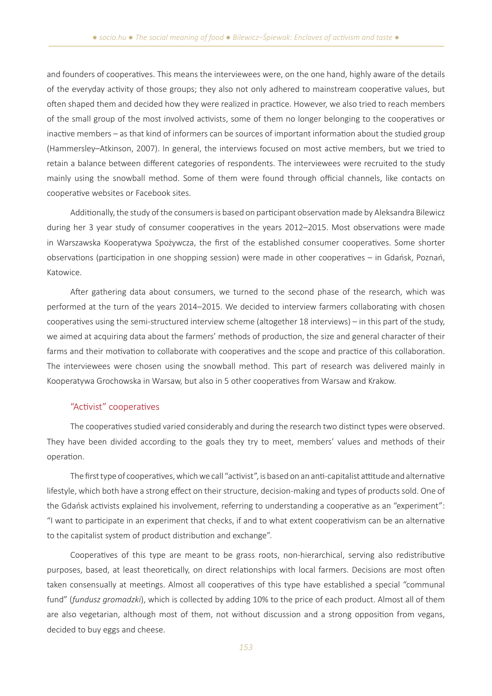and founders of cooperatives. This means the interviewees were, on the one hand, highly aware of the details of the everyday activity of those groups; they also not only adhered to mainstream cooperative values, but often shaped them and decided how they were realized in practice. However, we also tried to reach members of the small group of the most involved activists, some of them no longer belonging to the cooperatives or inactive members – as that kind of informers can be sources of important information about the studied group (Hammersley–Atkinson, 2007). In general, the interviews focused on most active members, but we tried to retain a balance between different categories of respondents. The interviewees were recruited to the study mainly using the snowball method. Some of them were found through official channels, like contacts on cooperative websites or Facebook sites.

Additionally, the study of the consumers is based on participant observation made by Aleksandra Bilewicz during her 3 year study of consumer cooperatives in the years 2012–2015. Most observations were made in Warszawska Kooperatywa Spożywcza, the first of the established consumer cooperatives. Some shorter observations (participation in one shopping session) were made in other cooperatives – in Gdańsk, Poznań, Katowice.

After gathering data about consumers, we turned to the second phase of the research, which was performed at the turn of the years 2014–2015. We decided to interview farmers collaborating with chosen cooperatives using the semi-structured interview scheme (altogether 18 interviews) – in this part of the study, we aimed at acquiring data about the farmers' methods of production, the size and general character of their farms and their motivation to collaborate with cooperatives and the scope and practice of this collaboration. The interviewees were chosen using the snowball method. This part of research was delivered mainly in Kooperatywa Grochowska in Warsaw, but also in 5 other cooperatives from Warsaw and Krakow.

# "Activist" cooperatives

The cooperatives studied varied considerably and during the research two distinct types were observed. They have been divided according to the goals they try to meet, members' values and methods of their operation.

The first type of cooperatives, which we call "activist", is based on an anti-capitalist attitude and alternative lifestyle, which both have a strong effect on their structure, decision-making and types of products sold. One of the Gdańsk activists explained his involvement, referring to understanding a cooperative as an "experiment": "I want to participate in an experiment that checks, if and to what extent cooperativism can be an alternative to the capitalist system of product distribution and exchange".

Cooperatives of this type are meant to be grass roots, non-hierarchical, serving also redistributive purposes, based, at least theoretically, on direct relationships with local farmers. Decisions are most often taken consensually at meetings. Almost all cooperatives of this type have established a special "communal fund" (*fundusz gromadzki*), which is collected by adding 10% to the price of each product. Almost all of them are also vegetarian, although most of them, not without discussion and a strong opposition from vegans, decided to buy eggs and cheese.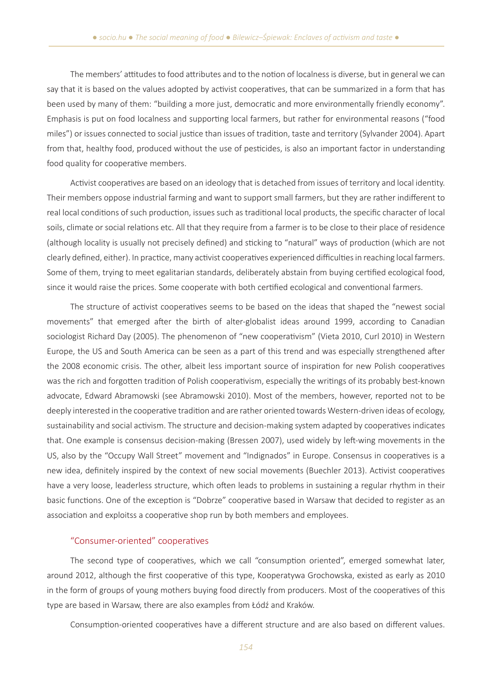The members' attitudes to food attributes and to the notion of localness is diverse, but in general we can say that it is based on the values adopted by activist cooperatives, that can be summarized in a form that has been used by many of them: "building a more just, democratic and more environmentally friendly economy". Emphasis is put on food localness and supporting local farmers, but rather for environmental reasons ("food miles") or issues connected to social justice than issues of tradition, taste and territory (Sylvander 2004). Apart from that, healthy food, produced without the use of pesticides, is also an important factor in understanding food quality for cooperative members.

Activist cooperatives are based on an ideology that is detached from issues of territory and local identity. Their members oppose industrial farming and want to support small farmers, but they are rather indifferent to real local conditions of such production, issues such as traditional local products, the specific character of local soils, climate or social relations etc. All that they require from a farmer is to be close to their place of residence (although locality is usually not precisely defined) and sticking to "natural" ways of production (which are not clearly defined, either). In practice, many activist cooperatives experienced difficulties in reaching local farmers. Some of them, trying to meet egalitarian standards, deliberately abstain from buying certified ecological food, since it would raise the prices. Some cooperate with both certified ecological and conventional farmers.

The structure of activist cooperatives seems to be based on the ideas that shaped the "newest social movements" that emerged after the birth of alter-globalist ideas around 1999, according to Canadian sociologist Richard Day (2005). The phenomenon of "new cooperativism" (Vieta 2010, Curl 2010) in Western Europe, the US and South America can be seen as a part of this trend and was especially strengthened after the 2008 economic crisis. The other, albeit less important source of inspiration for new Polish cooperatives was the rich and forgotten tradition of Polish cooperativism, especially the writings of its probably best-known advocate, Edward Abramowski (see Abramowski 2010). Most of the members, however, reported not to be deeply interested in the cooperative tradition and are rather oriented towards Western-driven ideas of ecology, sustainability and social activism. The structure and decision-making system adapted by cooperatives indicates that. One example is consensus decision-making (Bressen 2007), used widely by left-wing movements in the US, also by the "Occupy Wall Street" movement and "Indignados" in Europe. Consensus in cooperatives is a new idea, definitely inspired by the context of new social movements (Buechler 2013). Activist cooperatives have a very loose, leaderless structure, which often leads to problems in sustaining a regular rhythm in their basic functions. One of the exception is "Dobrze" cooperative based in Warsaw that decided to register as an association and exploitss a cooperative shop run by both members and employees.

# "Consumer-oriented" cooperatives

The second type of cooperatives, which we call "consumption oriented", emerged somewhat later, around 2012, although the first cooperative of this type, Kooperatywa Grochowska, existed as early as 2010 in the form of groups of young mothers buying food directly from producers. Most of the cooperatives of this type are based in Warsaw, there are also examples from Łódź and Kraków.

Consumption-oriented cooperatives have a different structure and are also based on different values.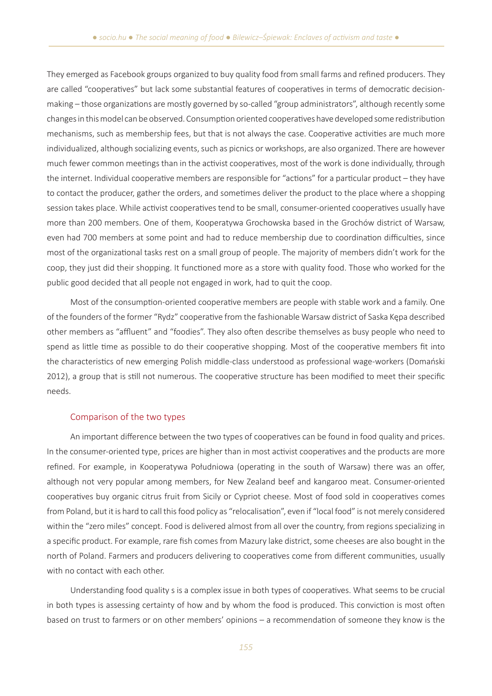They emerged as Facebook groups organized to buy quality food from small farms and refined producers. They are called "cooperatives" but lack some substantial features of cooperatives in terms of democratic decisionmaking – those organizations are mostly governed by so-called "group administrators", although recently some changes in this model can be observed. Consumption oriented cooperatives have developed some redistribution mechanisms, such as membership fees, but that is not always the case. Cooperative activities are much more individualized, although socializing events, such as picnics or workshops, are also organized. There are however much fewer common meetings than in the activist cooperatives, most of the work is done individually, through the internet. Individual cooperative members are responsible for "actions" for a particular product – they have to contact the producer, gather the orders, and sometimes deliver the product to the place where a shopping session takes place. While activist cooperatives tend to be small, consumer-oriented cooperatives usually have more than 200 members. One of them, Kooperatywa Grochowska based in the Grochów district of Warsaw, even had 700 members at some point and had to reduce membership due to coordination difficulties, since most of the organizational tasks rest on a small group of people. The majority of members didn't work for the coop, they just did their shopping. It functioned more as a store with quality food. Those who worked for the public good decided that all people not engaged in work, had to quit the coop.

Most of the consumption-oriented cooperative members are people with stable work and a family. One of the founders of the former "Rydz" cooperative from the fashionable Warsaw district of Saska Kępa described other members as "affluent" and "foodies". They also often describe themselves as busy people who need to spend as little time as possible to do their cooperative shopping. Most of the cooperative members fit into the characteristics of new emerging Polish middle-class understood as professional wage-workers (Domański 2012), a group that is still not numerous. The cooperative structure has been modified to meet their specific needs.

### Comparison of the two types

An important difference between the two types of cooperatives can be found in food quality and prices. In the consumer-oriented type, prices are higher than in most activist cooperatives and the products are more refined. For example, in Kooperatywa Południowa (operating in the south of Warsaw) there was an offer, although not very popular among members, for New Zealand beef and kangaroo meat. Consumer-oriented cooperatives buy organic citrus fruit from Sicily or Cypriot cheese. Most of food sold in cooperatives comes from Poland, but it is hard to call this food policy as "relocalisation", even if "local food" is not merely considered within the "zero miles" concept. Food is delivered almost from all over the country, from regions specializing in a specific product. For example, rare fish comes from Mazury lake district, some cheeses are also bought in the north of Poland. Farmers and producers delivering to cooperatives come from different communities, usually with no contact with each other.

Understanding food quality s is a complex issue in both types of cooperatives. What seems to be crucial in both types is assessing certainty of how and by whom the food is produced. This conviction is most often based on trust to farmers or on other members' opinions – a recommendation of someone they know is the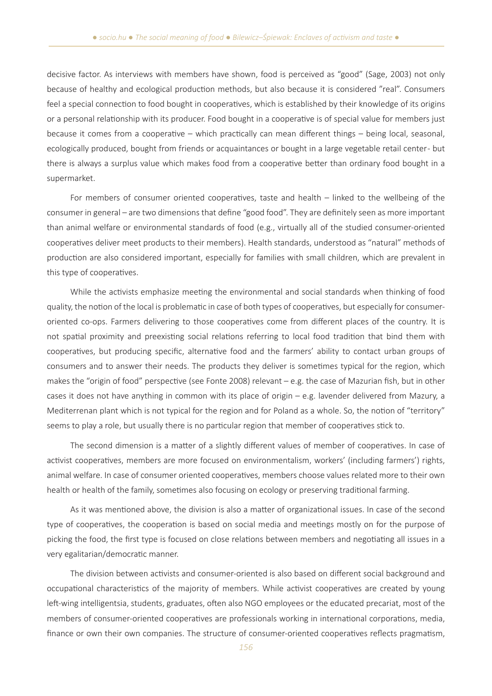decisive factor. As interviews with members have shown, food is perceived as "good" (Sage, 2003) not only because of healthy and ecological production methods, but also because it is considered "real". Consumers feel a special connection to food bought in cooperatives, which is established by their knowledge of its origins or a personal relationship with its producer. Food bought in a cooperative is of special value for members just because it comes from a cooperative – which practically can mean different things – being local, seasonal, ecologically produced, bought from friends or acquaintances or bought in a large vegetable retail center - but there is always a surplus value which makes food from a cooperative better than ordinary food bought in a supermarket.

For members of consumer oriented cooperatives, taste and health – linked to the wellbeing of the consumer in general – are two dimensions that define "good food". They are definitely seen as more important than animal welfare or environmental standards of food (e.g., virtually all of the studied consumer-oriented cooperatives deliver meet products to their members). Health standards, understood as "natural" methods of production are also considered important, especially for families with small children, which are prevalent in this type of cooperatives.

While the activists emphasize meeting the environmental and social standards when thinking of food quality, the notion of the local is problematic in case of both types of cooperatives, but especially for consumeroriented co-ops. Farmers delivering to those cooperatives come from different places of the country. It is not spatial proximity and preexisting social relations referring to local food tradition that bind them with cooperatives, but producing specific, alternative food and the farmers' ability to contact urban groups of consumers and to answer their needs. The products they deliver is sometimes typical for the region, which makes the "origin of food" perspective (see Fonte 2008) relevant – e.g. the case of Mazurian fish, but in other cases it does not have anything in common with its place of origin – e.g. lavender delivered from Mazury, a Mediterrenan plant which is not typical for the region and for Poland as a whole. So, the notion of "territory" seems to play a role, but usually there is no particular region that member of cooperatives stick to.

The second dimension is a matter of a slightly different values of member of cooperatives. In case of activist cooperatives, members are more focused on environmentalism, workers' (including farmers') rights, animal welfare. In case of consumer oriented cooperatives, members choose values related more to their own health or health of the family, sometimes also focusing on ecology or preserving traditional farming.

As it was mentioned above, the division is also a matter of organizational issues. In case of the second type of cooperatives, the cooperation is based on social media and meetings mostly on for the purpose of picking the food, the first type is focused on close relations between members and negotiating all issues in a very egalitarian/democratic manner.

The division between activists and consumer-oriented is also based on different social background and occupational characteristics of the majority of members. While activist cooperatives are created by young left-wing intelligentsia, students, graduates, often also NGO employees or the educated precariat, most of the members of consumer-oriented cooperatives are professionals working in international corporations, media, finance or own their own companies. The structure of consumer-oriented cooperatives reflects pragmatism,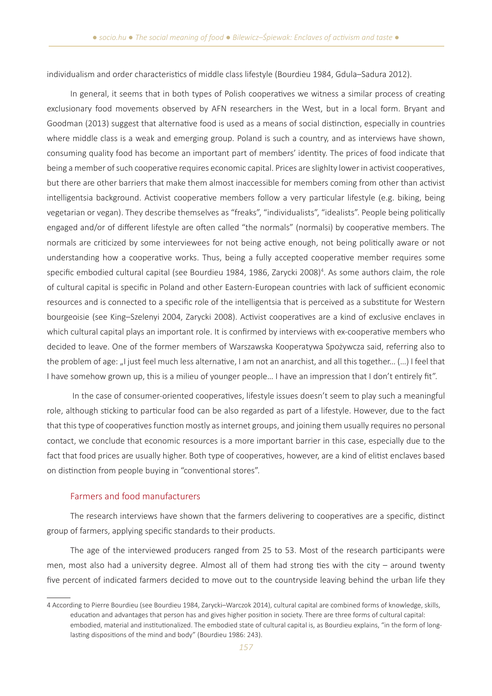individualism and order characteristics of middle class lifestyle (Bourdieu 1984, Gdula–Sadura 2012).

In general, it seems that in both types of Polish cooperatives we witness a similar process of creating exclusionary food movements observed by AFN researchers in the West, but in a local form. Bryant and Goodman (2013) suggest that alternative food is used as a means of social distinction, especially in countries where middle class is a weak and emerging group. Poland is such a country, and as interviews have shown, consuming quality food has become an important part of members' identity. The prices of food indicate that being a member of such cooperative requires economic capital. Prices are slighlty lower in activist cooperatives, but there are other barriers that make them almost inaccessible for members coming from other than activist intelligentsia background. Activist cooperative members follow a very particular lifestyle (e.g. biking, being vegetarian or vegan). They describe themselves as "freaks", "individualists", "idealists". People being politically engaged and/or of different lifestyle are often called "the normals" (normalsi) by cooperative members. The normals are criticized by some interviewees for not being active enough, not being politically aware or not understanding how a cooperative works. Thus, being a fully accepted cooperative member requires some specific embodied cultural capital (see Bourdieu 1984, 1986, Zarycki 2008)<sup>4</sup>. As some authors claim, the role of cultural capital is specific in Poland and other Eastern-European countries with lack of sufficient economic resources and is connected to a specific role of the intelligentsia that is perceived as a substitute for Western bourgeoisie (see King–Szelenyi 2004, Zarycki 2008). Activist cooperatives are a kind of exclusive enclaves in which cultural capital plays an important role. It is confirmed by interviews with ex-cooperative members who decided to leave. One of the former members of Warszawska Kooperatywa Spożywcza said, referring also to the problem of age: "I just feel much less alternative, I am not an anarchist, and all this together… (…) I feel that I have somehow grown up, this is a milieu of younger people… I have an impression that I don't entirely fit".

 In the case of consumer-oriented cooperatives, lifestyle issues doesn't seem to play such a meaningful role, although sticking to particular food can be also regarded as part of a lifestyle. However, due to the fact that this type of cooperatives function mostly as internet groups, and joining them usually requires no personal contact, we conclude that economic resources is a more important barrier in this case, especially due to the fact that food prices are usually higher. Both type of cooperatives, however, are a kind of elitist enclaves based on distinction from people buying in "conventional stores".

# Farmers and food manufacturers

The research interviews have shown that the farmers delivering to cooperatives are a specific, distinct group of farmers, applying specific standards to their products.

The age of the interviewed producers ranged from 25 to 53. Most of the research participants were men, most also had a university degree. Almost all of them had strong ties with the city – around twenty five percent of indicated farmers decided to move out to the countryside leaving behind the urban life they

<sup>4</sup> According to Pierre Bourdieu (see Bourdieu 1984, Zarycki–Warczok 2014), cultural capital are combined forms of knowledge, skills, education and advantages that person has and gives higher position in society. There are three forms of cultural capital: embodied, material and institutionalized. The embodied state of cultural capital is, as Bourdieu explains, "in the form of longlasting dispositions of the mind and body" (Bourdieu 1986: 243).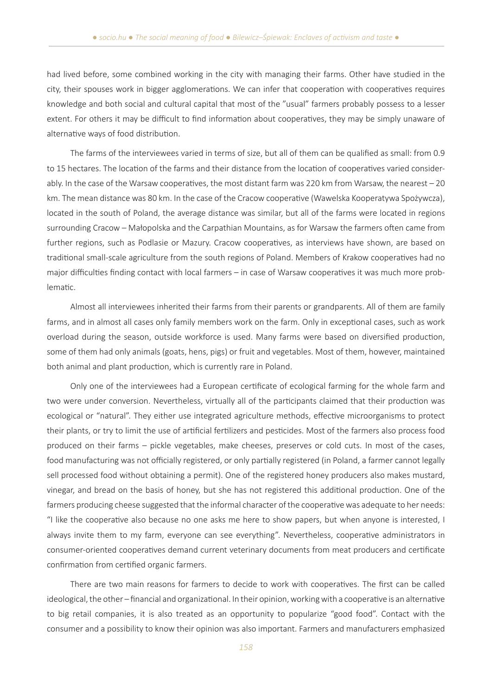had lived before, some combined working in the city with managing their farms. Other have studied in the city, their spouses work in bigger agglomerations. We can infer that cooperation with cooperatives requires knowledge and both social and cultural capital that most of the "usual" farmers probably possess to a lesser extent. For others it may be difficult to find information about cooperatives, they may be simply unaware of alternative ways of food distribution.

The farms of the interviewees varied in terms of size, but all of them can be qualified as small: from 0.9 to 15 hectares. The location of the farms and their distance from the location of cooperatives varied considerably. In the case of the Warsaw cooperatives, the most distant farm was 220 km from Warsaw, the nearest – 20 km. The mean distance was 80 km. In the case of the Cracow cooperative (Wawelska Kooperatywa Spożywcza), located in the south of Poland, the average distance was similar, but all of the farms were located in regions surrounding Cracow – Małopolska and the Carpathian Mountains, as for Warsaw the farmers often came from further regions, such as Podlasie or Mazury. Cracow cooperatives, as interviews have shown, are based on traditional small-scale agriculture from the south regions of Poland. Members of Krakow cooperatives had no major difficulties finding contact with local farmers – in case of Warsaw cooperatives it was much more problematic.

Almost all interviewees inherited their farms from their parents or grandparents. All of them are family farms, and in almost all cases only family members work on the farm. Only in exceptional cases, such as work overload during the season, outside workforce is used. Many farms were based on diversified production, some of them had only animals (goats, hens, pigs) or fruit and vegetables. Most of them, however, maintained both animal and plant production, which is currently rare in Poland.

Only one of the interviewees had a European certificate of ecological farming for the whole farm and two were under conversion. Nevertheless, virtually all of the participants claimed that their production was ecological or "natural". They either use integrated agriculture methods, effective microorganisms to protect their plants, or try to limit the use of artificial fertilizers and pesticides. Most of the farmers also process food produced on their farms – pickle vegetables, make cheeses, preserves or cold cuts. In most of the cases, food manufacturing was not officially registered, or only partially registered (in Poland, a farmer cannot legally sell processed food without obtaining a permit). One of the registered honey producers also makes mustard, vinegar, and bread on the basis of honey, but she has not registered this additional production. One of the farmers producing cheese suggested that the informal character of the cooperative was adequate to her needs: "I like the cooperative also because no one asks me here to show papers, but when anyone is interested, I always invite them to my farm, everyone can see everything". Nevertheless, cooperative administrators in consumer-oriented cooperatives demand current veterinary documents from meat producers and certificate confirmation from certified organic farmers.

There are two main reasons for farmers to decide to work with cooperatives. The first can be called ideological, the other – financial and organizational. In their opinion, working with a cooperative is an alternative to big retail companies, it is also treated as an opportunity to popularize "good food". Contact with the consumer and a possibility to know their opinion was also important. Farmers and manufacturers emphasized

*158*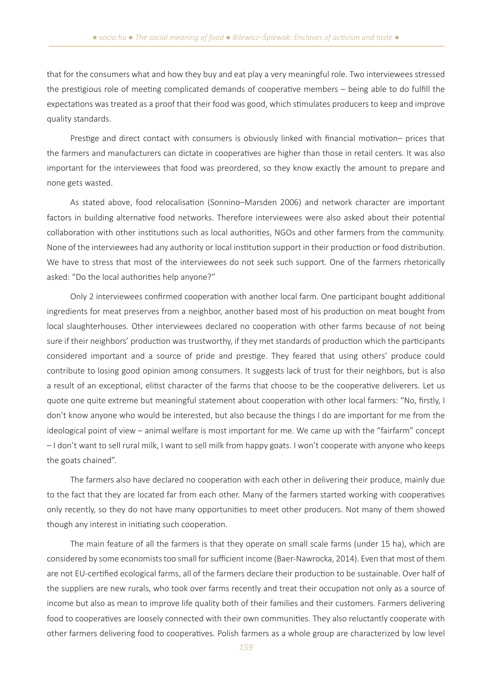that for the consumers what and how they buy and eat play a very meaningful role. Two interviewees stressed the prestigious role of meeting complicated demands of cooperative members – being able to do fulfill the expectations was treated as a proof that their food was good, which stimulates producers to keep and improve quality standards.

Prestige and direct contact with consumers is obviously linked with financial motivation– prices that the farmers and manufacturers can dictate in cooperatives are higher than those in retail centers. It was also important for the interviewees that food was preordered, so they know exactly the amount to prepare and none gets wasted.

As stated above, food relocalisation (Sonnino–Marsden 2006) and network character are important factors in building alternative food networks. Therefore interviewees were also asked about their potential collaboration with other institutions such as local authorities, NGOs and other farmers from the community. None of the interviewees had any authority or local institution support in their production or food distribution. We have to stress that most of the interviewees do not seek such support. One of the farmers rhetorically asked: "Do the local authorities help anyone?"

Only 2 interviewees confirmed cooperation with another local farm. One participant bought additional ingredients for meat preserves from a neighbor, another based most of his production on meat bought from local slaughterhouses. Other interviewees declared no cooperation with other farms because of not being sure if their neighbors' production was trustworthy, if they met standards of production which the participants considered important and a source of pride and prestige. They feared that using others' produce could contribute to losing good opinion among consumers. It suggests lack of trust for their neighbors, but is also a result of an exceptional, elitist character of the farms that choose to be the cooperative deliverers. Let us quote one quite extreme but meaningful statement about cooperation with other local farmers: "No, firstly, I don't know anyone who would be interested, but also because the things I do are important for me from the ideological point of view – animal welfare is most important for me. We came up with the "fairfarm" concept – I don't want to sell rural milk, I want to sell milk from happy goats. I won't cooperate with anyone who keeps the goats chained".

The farmers also have declared no cooperation with each other in delivering their produce, mainly due to the fact that they are located far from each other. Many of the farmers started working with cooperatives only recently, so they do not have many opportunities to meet other producers. Not many of them showed though any interest in initiating such cooperation.

The main feature of all the farmers is that they operate on small scale farms (under 15 ha), which are considered by some economists too small for sufficient income (Baer-Nawrocka, 2014). Even that most of them are not EU-certified ecological farms, all of the farmers declare their production to be sustainable. Over half of the suppliers are new rurals, who took over farms recently and treat their occupation not only as a source of income but also as mean to improve life quality both of their families and their customers. Farmers delivering food to cooperatives are loosely connected with their own communities. They also reluctantly cooperate with other farmers delivering food to cooperatives. Polish farmers as a whole group are characterized by low level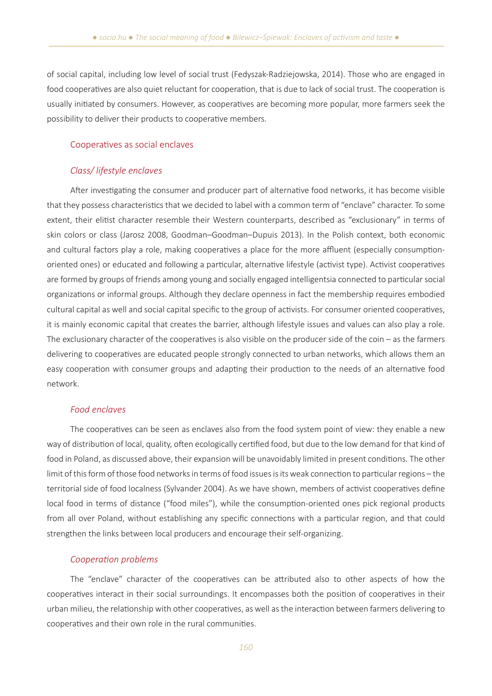of social capital, including low level of social trust (Fedyszak-Radziejowska, 2014). Those who are engaged in food cooperatives are also quiet reluctant for cooperation, that is due to lack of social trust. The cooperation is usually initiated by consumers. However, as cooperatives are becoming more popular, more farmers seek the possibility to deliver their products to cooperative members.

### Cooperatives as social enclaves

### *Class/ lifestyle enclaves*

After investigating the consumer and producer part of alternative food networks, it has become visible that they possess characteristics that we decided to label with a common term of "enclave" character. To some extent, their elitist character resemble their Western counterparts, described as "exclusionary" in terms of skin colors or class (Jarosz 2008, Goodman–Goodman–Dupuis 2013). In the Polish context, both economic and cultural factors play a role, making cooperatives a place for the more affluent (especially consumptionoriented ones) or educated and following a particular, alternative lifestyle (activist type). Activist cooperatives are formed by groups of friends among young and socially engaged intelligentsia connected to particular social organizations or informal groups. Although they declare openness in fact the membership requires embodied cultural capital as well and social capital specific to the group of activists. For consumer oriented cooperatives, it is mainly economic capital that creates the barrier, although lifestyle issues and values can also play a role. The exclusionary character of the cooperatives is also visible on the producer side of the coin – as the farmers delivering to cooperatives are educated people strongly connected to urban networks, which allows them an easy cooperation with consumer groups and adapting their production to the needs of an alternative food network.

### *Food enclaves*

The cooperatives can be seen as enclaves also from the food system point of view: they enable a new way of distribution of local, quality, often ecologically certified food, but due to the low demand for that kind of food in Poland, as discussed above, their expansion will be unavoidably limited in present conditions. The other limit of this form of those food networks in terms of food issues is its weak connection to particular regions – the territorial side of food localness (Sylvander 2004). As we have shown, members of activist cooperatives define local food in terms of distance ("food miles"), while the consumption-oriented ones pick regional products from all over Poland, without establishing any specific connections with a particular region, and that could strengthen the links between local producers and encourage their self-organizing.

### *Cooperation problems*

The "enclave" character of the cooperatives can be attributed also to other aspects of how the cooperatives interact in their social surroundings. It encompasses both the position of cooperatives in their urban milieu, the relationship with other cooperatives, as well as the interaction between farmers delivering to cooperatives and their own role in the rural communities.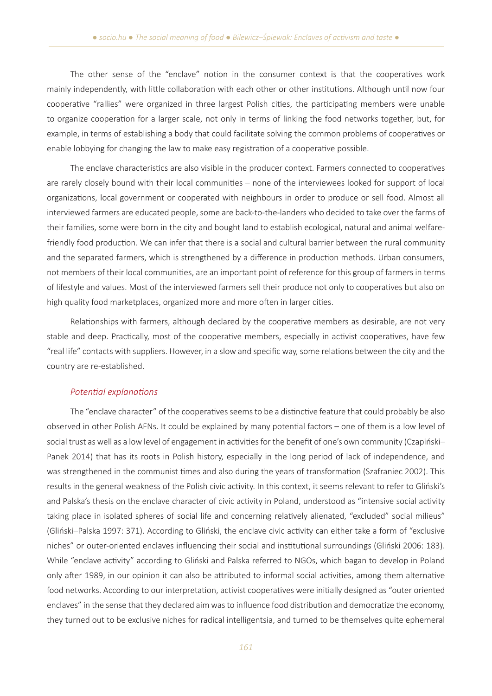The other sense of the "enclave" notion in the consumer context is that the cooperatives work mainly independently, with little collaboration with each other or other institutions. Although until now four cooperative "rallies" were organized in three largest Polish cities, the participating members were unable to organize cooperation for a larger scale, not only in terms of linking the food networks together, but, for example, in terms of establishing a body that could facilitate solving the common problems of cooperatives or enable lobbying for changing the law to make easy registration of a cooperative possible.

The enclave characteristics are also visible in the producer context. Farmers connected to cooperatives are rarely closely bound with their local communities – none of the interviewees looked for support of local organizations, local government or cooperated with neighbours in order to produce or sell food. Almost all interviewed farmers are educated people, some are back-to-the-landers who decided to take over the farms of their families, some were born in the city and bought land to establish ecological, natural and animal welfarefriendly food production. We can infer that there is a social and cultural barrier between the rural community and the separated farmers, which is strengthened by a difference in production methods. Urban consumers, not members of their local communities, are an important point of reference for this group of farmers in terms of lifestyle and values. Most of the interviewed farmers sell their produce not only to cooperatives but also on high quality food marketplaces, organized more and more often in larger cities.

Relationships with farmers, although declared by the cooperative members as desirable, are not very stable and deep. Practically, most of the cooperative members, especially in activist cooperatives, have few "real life" contacts with suppliers. However, in a slow and specific way, some relations between the city and the country are re-established.

### *Potential explanations*

The "enclave character" of the cooperatives seems to be a distinctive feature that could probably be also observed in other Polish AFNs. It could be explained by many potential factors – one of them is a low level of social trust as well as a low level of engagement in activities for the benefit of one's own community (Czapiński– Panek 2014) that has its roots in Polish history, especially in the long period of lack of independence, and was strengthened in the communist times and also during the years of transformation (Szafraniec 2002). This results in the general weakness of the Polish civic activity. In this context, it seems relevant to refer to Gliński's and Palska's thesis on the enclave character of civic activity in Poland, understood as "intensive social activity taking place in isolated spheres of social life and concerning relatively alienated, "excluded" social milieus" (Gliński–Palska 1997: 371). According to Gliński, the enclave civic activity can either take a form of "exclusive niches" or outer-oriented enclaves influencing their social and institutional surroundings (Gliński 2006: 183). While "enclave activity" according to Gliński and Palska referred to NGOs, which bagan to develop in Poland only after 1989, in our opinion it can also be attributed to informal social activities, among them alternative food networks. According to our interpretation, activist cooperatives were initially designed as "outer oriented enclaves" in the sense that they declared aim was to influence food distribution and democratize the economy, they turned out to be exclusive niches for radical intelligentsia, and turned to be themselves quite ephemeral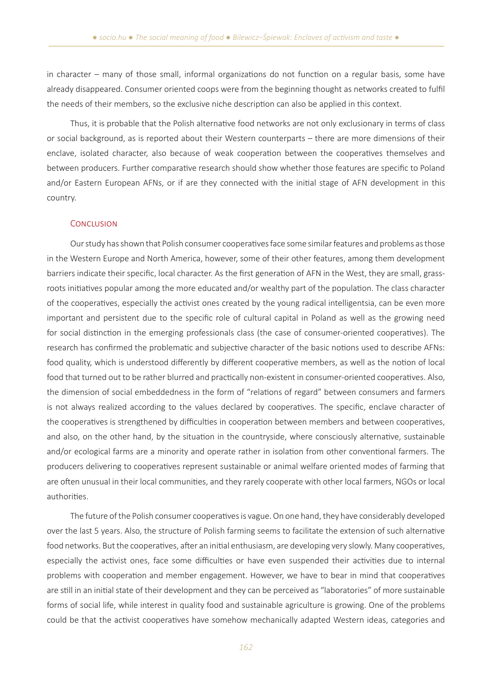in character – many of those small, informal organizations do not function on a regular basis, some have already disappeared. Consumer oriented coops were from the beginning thought as networks created to fulfil the needs of their members, so the exclusive niche description can also be applied in this context.

Thus, it is probable that the Polish alternative food networks are not only exclusionary in terms of class or social background, as is reported about their Western counterparts – there are more dimensions of their enclave, isolated character, also because of weak cooperation between the cooperatives themselves and between producers. Further comparative research should show whether those features are specific to Poland and/or Eastern European AFNs, or if are they connected with the initial stage of AFN development in this country.

### **CONCLUSION**

Our study has shown that Polish consumer cooperatives face some similar features and problems as those in the Western Europe and North America, however, some of their other features, among them development barriers indicate their specific, local character. As the first generation of AFN in the West, they are small, grassroots initiatives popular among the more educated and/or wealthy part of the population. The class character of the cooperatives, especially the activist ones created by the young radical intelligentsia, can be even more important and persistent due to the specific role of cultural capital in Poland as well as the growing need for social distinction in the emerging professionals class (the case of consumer-oriented cooperatives). The research has confirmed the problematic and subjective character of the basic notions used to describe AFNs: food quality, which is understood differently by different cooperative members, as well as the notion of local food that turned out to be rather blurred and practically non-existent in consumer-oriented cooperatives. Also, the dimension of social embeddedness in the form of "relations of regard" between consumers and farmers is not always realized according to the values declared by cooperatives. The specific, enclave character of the cooperatives is strengthened by difficulties in cooperation between members and between cooperatives, and also, on the other hand, by the situation in the countryside, where consciously alternative, sustainable and/or ecological farms are a minority and operate rather in isolation from other conventional farmers. The producers delivering to cooperatives represent sustainable or animal welfare oriented modes of farming that are often unusual in their local communities, and they rarely cooperate with other local farmers, NGOs or local authorities.

The future of the Polish consumer cooperatives is vague. On one hand, they have considerably developed over the last 5 years. Also, the structure of Polish farming seems to facilitate the extension of such alternative food networks. But the cooperatives, after an initial enthusiasm, are developing very slowly. Many cooperatives, especially the activist ones, face some difficulties or have even suspended their activities due to internal problems with cooperation and member engagement. However, we have to bear in mind that cooperatives are still in an initial state of their development and they can be perceived as "laboratories" of more sustainable forms of social life, while interest in quality food and sustainable agriculture is growing. One of the problems could be that the activist cooperatives have somehow mechanically adapted Western ideas, categories and

*162*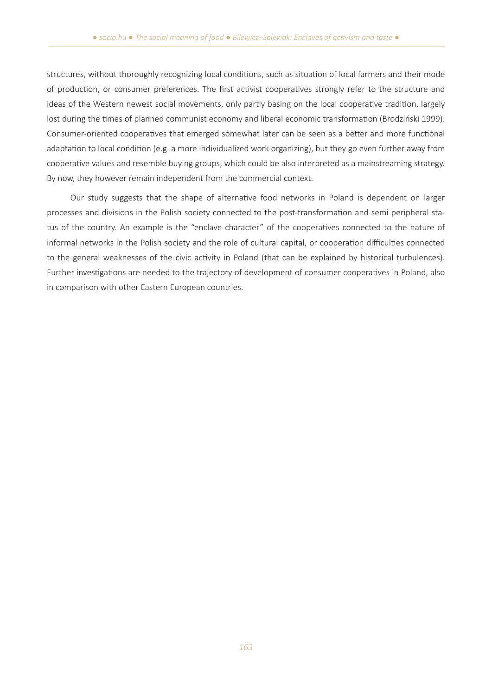structures, without thoroughly recognizing local conditions, such as situation of local farmers and their mode of production, or consumer preferences. The first activist cooperatives strongly refer to the structure and ideas of the Western newest social movements, only partly basing on the local cooperative tradition, largely lost during the times of planned communist economy and liberal economic transformation (Brodziński 1999). Consumer-oriented cooperatives that emerged somewhat later can be seen as a better and more functional adaptation to local condition (e.g. a more individualized work organizing), but they go even further away from cooperative values and resemble buying groups, which could be also interpreted as a mainstreaming strategy. By now, they however remain independent from the commercial context.

Our study suggests that the shape of alternative food networks in Poland is dependent on larger processes and divisions in the Polish society connected to the post-transformation and semi peripheral status of the country. An example is the "enclave character" of the cooperatives connected to the nature of informal networks in the Polish society and the role of cultural capital, or cooperation difficulties connected to the general weaknesses of the civic activity in Poland (that can be explained by historical turbulences). Further investigations are needed to the trajectory of development of consumer cooperatives in Poland, also in comparison with other Eastern European countries.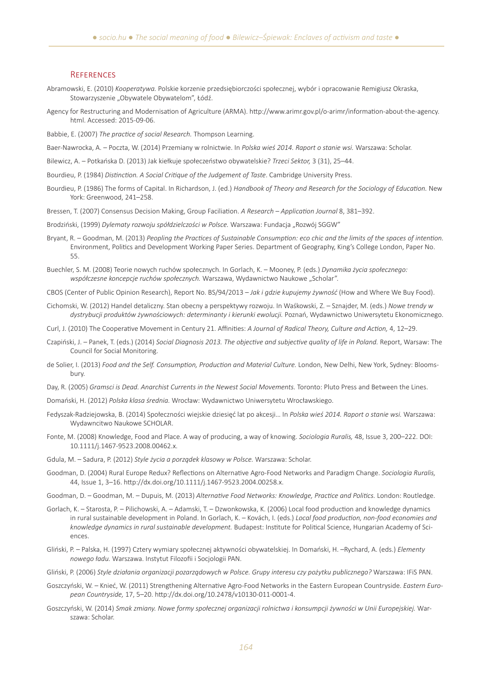#### **REFERENCES**

- Abramowski, E. (2010) *Kooperatywa.* Polskie korzenie przedsiębiorczości społecznej, wybór i opracowanie Remigiusz Okraska, Stowarzyszenie "Obywatele Obywatelom", Łódź.
- Agency for Restructuring and Modernisation of Agriculture (ARMA). http://www.arimr.gov.pl/o-arimr/information-about-the-agency. html. Accessed: 2015-09-06.
- Babbie, E. (2007) *The practice of social Research.* Thompson Learning.
- Baer-Nawrocka, A. Poczta, W. (2014) Przemiany w rolnictwie. In *Polska wieś 2014. Raport o stanie wsi.* Warszawa: Scholar.
- Bilewicz, A. Potkańska D. (2013) Jak kiełkuje społeczeństwo obywatelskie? *Trzeci Sektor,* 3 (31), 25–44.
- Bourdieu, P. (1984) *Distinction. A Social Critique of the Judgement of Taste*. Cambridge University Press.
- Bourdieu, P. (1986) The forms of Capital. In Richardson, J. (ed.) *Handbook of Theory and Research for the Sociology of Education.* New York: Greenwood, 241–258.
- Bressen, T. (2007) Consensus Decision Making, Group Faciliation. *A Research Application Journal* 8, 381–392.
- Brodziński, (1999) Dylematy rozwoju spółdzielczości w Polsce. Warszawa: Fundacja "Rozwój SGGW"
- Bryant, R. Goodman, M. (2013) *Peopling the Practices of Sustainable Consumption: eco chic and the limits of the spaces of intention.* Environment, Politics and Development Working Paper Series. Department of Geography, King's College London, Paper No. 55.
- Buechler, S. M. (2008) Teorie nowych ruchów społecznych. In Gorlach, K. Mooney, P. (eds.) *Dynamika życia społecznego:*  współczesne koncepcje ruchów społecznych. Warszawa, Wydawnictwo Naukowe "Scholar".
- CBOS (Center of Public Opinion Research), Report No. BS/94/2013 *Jak i gdzie kupujemy żywność* (How and Where We Buy Food).
- Cichomski, W. (2012) Handel detaliczny. Stan obecny a perspektywy rozwoju. In Waśkowski, Z. Sznajder, M. (eds.) *Nowe trendy w dystrybucji produktów żywnościowych: determinanty i kierunki ewolucji.* Poznań, Wydawnictwo Uniwersytetu Ekonomicznego.
- Curl, J. (2010) The Cooperative Movement in Century 21. Affinities: *A Journal of Radical Theory, Culture and Action,* 4, 12–29.
- Czapiński, J. Panek, T. (eds.) (2014) *Social Diagnosis 2013. The objective and subjective quality of life in Poland.* Report, Warsaw: The Council for Social Monitoring.
- de Solier, I. (2013) *Food and the Self. Consumption, Production and Material Culture.* London, New Delhi, New York, Sydney: Bloomsbury.
- Day, R. (2005) *Gramsci is Dead. Anarchist Currents in the Newest Social Movements.* Toronto: Pluto Press and Between the Lines.
- Domański, H. (2012) *Polska klasa średnia.* Wrocław: Wydawnictwo Uniwersytetu Wrocławskiego.
- Fedyszak-Radziejowska, B. (2014) Społeczności wiejskie dziesięć lat po akcesji… In *Polska wieś 2014. Raport o stanie wsi.* Warszawa: Wydawncitwo Naukowe SCHOLAR.
- Fonte, M. (2008) Knowledge, Food and Place. A way of producing, a way of knowing. *Sociologia Ruralis,* 48, Issue 3, 200–222. DOI: 10.1111/j.1467-9523.2008.00462.x.
- Gdula, M. Sadura, P. (2012) *Style życia a porządek klasowy w Polsce.* Warszawa: Scholar.
- Goodman, D. (2004) Rural Europe Redux? Reflections on Alternative Agro-Food Networks and Paradigm Change. *Sociologia Ruralis,* 44, Issue 1, 3–16. http://dx.doi.org/10.1111/j.1467-9523.2004.00258.x.
- Goodman, D. Goodman, M. Dupuis, M. (2013) *Alternative Food Networks: Knowledge, Practice and Politics.* London: Routledge.
- Gorlach, K. Starosta, P. Pilichowski, A. Adamski, T. Dzwonkowska, K. (2006) Local food production and knowledge dynamics in rural sustainable development in Poland. In Gorlach, K. – Kovách, I. (eds.) *Local food production, non-food economies and knowledge dynamics in rural sustainable development.* Budapest: Institute for Political Science, Hungarian Academy of Sciences.
- Gliński, P. Palska, H. (1997) Cztery wymiary społecznej aktywności obywatelskiej. In Domański, H. –Rychard, A. (eds.) *Elementy nowego ładu.* Warszawa. Instytut Filozofii i Socjologii PAN.
- Gliński, P. (2006) *Style działania organizacji pozarządowych w Polsce. Grupy interesu czy pożytku publicznego?* Warszawa: IFiS PAN.
- Goszczyński, W. Knieć, W. (2011) Strengthening Alternative Agro-Food Networks in the Eastern European Countryside. *Eastern European Countryside,* 17, 5–20. http://dx.doi.org/10.2478/v10130-011-0001-4.
- Goszczyński, W. (2014) *Smak zmiany. Nowe formy społecznej organizacji rolnictwa i konsumpcji żywności w Unii Europejskiej.* Warszawa: Scholar.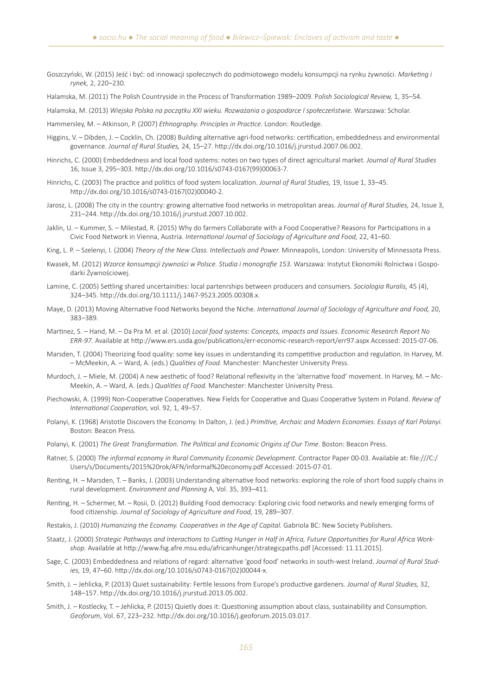Goszczyński, W. (2015) Jeść i być: od innowacji społecznych do podmiotowego modelu konsumpcji na rynku żywności. *Marketing i rynek,* 2, 220–230.

Halamska, M. (2011) The Polish Countryside in the Process of Transformation 1989–2009. P*olish Sociological Review,* 1, 35–54.

Halamska, M. (2013) *Wiejska Polska na początku XXI wieku. Rozważania o gospodarce I społeczeństwie.* Warszawa: Scholar.

Hammersley, M. – Atkinson, P. (2007) *Ethnography. Principles in Practice.* London: Routledge.

- Higgins, V. Dibden, J. Cocklin, Ch. (2008) Building alternative agri-food networks: certification, embeddedness and environmental governance. *Journal of Rural Studies,* 24, 15–27. http://dx.doi.org/10.1016/j.jrurstud.2007.06.002.
- Hinrichs, C. (2000) Embeddedness and local food systems: notes on two types of direct agricultural market. *Journal of Rural Studies*  16, Issue 3, 295–303. http://dx.doi.org/10.1016/s0743-0167(99)00063-7.
- Hinrichs, C. (2003) The practice and politics of food system localization. *Journal of Rural Studies,* 19, Issue 1, 33–45. http://dx.doi.org/10.1016/s0743-0167(02)00040-2.
- Jarosz, L. (2008) The city in the country: growing alternative food networks in metropolitan areas. *Journal of Rural Studies,* 24, Issue 3, 231–244. http://dx.doi.org/10.1016/j.jrurstud.2007.10.002.
- Jaklin, U. Kummer, S. Milestad, R. (2015) Why do farmers Collaborate with a Food Cooperative? Reasons for Participations in a Civic Food Network in Vienna, Austria. *International Journal of Sociology of Agriculture and Food,* 22, 41–60.
- King, L. P. Szelenyi, I. (2004) *Theory of the New Class. Intellectuals and Power.* Minneapolis, London: University of Minnessota Press.
- Kwasek, M. (2012) *Wzorce konsumpcji żywności w Polsce. Studia i monografie 153.* Warszawa: Instytut Ekonomiki Rolnictwa i Gospodarki Żywnościowej.
- Lamine, C. (2005) Settling shared uncertainities: local partenrships between producers and consumers. *Sociologia Ruralis,* 45 (4), 324–345. http://dx.doi.org/10.1111/j.1467-9523.2005.00308.x.
- Maye, D. (2013) Moving Alternative Food Networks beyond the Niche. *International Journal of Sociology of Agriculture and Food,* 20, 383–389.
- Martinez, S. Hand, M. Da Pra M. et al. (2010) *Local food systems: Concepts, impacts and Issues. Economic Research Report No ERR-97.* Available at http://www.ers.usda.gov/publications/err-economic-research-report/err97.aspx Accessed: 2015-07-06.
- Marsden, T. (2004) Theorizing food quality: some key issues in understanding its competitive production and regulation. In Harvey, M. – McMeekin, A. – Ward, A. (eds.) *Qualities of Food.* Manchester: Manchester University Press.
- Murdoch, J. Miele, M. (2004) A new aesthetic of food? Relational reflexivity in the 'alternative food' movement. In Harvey, M. Mc-Meekin, A. – Ward, A. (eds.) *Qualities of Food.* Manchester: Manchester University Press.
- Piechowski, A. (1999) Non-Cooperative Cooperatives. New Fields for Cooperative and Quasi Cooperative System in Poland. *Review of International Cooperation,* vol. 92, 1, 49–57.
- Polanyi, K. (1968) Aristotle Discovers the Economy. In Dalton, J. (ed.) *Primitive, Archaic and Modern Economies. Essays of Karl Polanyi.* Boston: Beacon Press.
- Polanyi, K. (2001) *The Great Transformation. The Political and Economic Origins of Our Time*. Boston: Beacon Press.
- Ratner, S. (2000) *The informal economy in Rural Community Economic Development.* Contractor Paper 00-03. Available at: file:///C:/ Users/s/Documents/2015%20rok/AFN/informal%20economy.pdf Accessed: 2015-07-01.
- Renting, H. Marsden, T. Banks, J. (2003) Understanding alternative food networks: exploring the role of short food supply chains in rural development. *Environment and Planning* A, Vol. 35, 393–411.
- Renting, H. Schermer, M. Rosii, D. (2012) Building Food democracy: Exploring civic food networks and newly emerging forms of food citizenship. *Journal of Sociology of Agriculture and Food,* 19, 289–307.
- Restakis, J. (2010) *Humanizing the Economy. Cooperatives in the Age of Capital.* Gabriola BC: New Society Publishers.
- Staatz, J. (2000) *Strategic Pathways and Interactions to Cutting Hunger in Half in Africa, Future Opportunities for Rural Africa Workshop.* Available at http://www.fsg.afre.msu.edu/africanhunger/strategicpaths.pdf [Accessed: 11.11.2015].
- Sage, C. (2003) Embeddedness and relations of regard: alternative 'good food' networks in south-west Ireland. *Journal of Rural Studies,* 19, 47–60. http://dx.doi.org/10.1016/s0743-0167(02)00044-x.
- Smith, J. Jehlicka, P. (2013) Quiet sustainability: Fertile lessons from Europe's productive gardeners. *Journal of Rural Studies,* 32, 148–157. http://dx.doi.org/10.1016/j.jrurstud.2013.05.002.
- Smith, J. Kostlecky, T. Jehlicka, P. (2015) Quietly does it: Questioning assumption about class, sustainability and Consumption*. Geoforum*, Vol. 67, 223–232. http://dx.doi.org/10.1016/j.geoforum.2015.03.017.